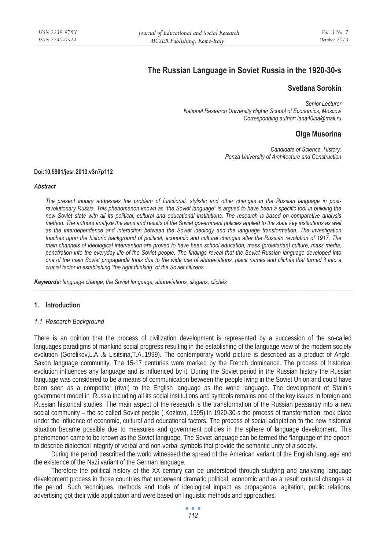# **The Russian Language in Soviet Russia in the 1920-30-s**

# **Svetlana Sorokin**

*Senior Lecturer National Research University Higher School of Economics, Moscow Corresponding author: lana40ina@mail.ru* 

# **Olga Musorina**

*Candidate of Science, History; Penza University of Architecture and Construction* 

#### **Doi:10.5901/jesr.2013.v3n7p112**

#### *Abstract*

*The present inquiry addresses the problem of functional, stylistic and other changes in the Russian language in postrevolutionary Russia. This phenomenon known as "the Soviet language" is argued to have been a specific tool in building the new Soviet state with all its political, cultural and educational institutions. The research is based on comparative analysis method. The authors analyze the aims and results of the Soviet government policies applied to the state key institutions as well as the interdependence and interaction between the Soviet ideology and the language transformation. The investigation touches upon the historic background of political, economic and cultural changes after the Russian revolution of 1917. The main channels of ideological intervention are proved to have been school education, mass (proletarian) culture, mass media, penetration into the everyday life of the Soviet people. The findings reveal that the Soviet Russian language developed into one of the main Soviet propaganda tools due to the wide use of abbreviations, place names and clichés that turned it into a crucial factor in establishing "the right thinking" of the Soviet citizens.* 

*Keywords: language change, the Soviet language, abbreviations, slogans, clichés* 

#### **1. Introduction**

#### *1.1 Research Background*

There is an opinion that the process of civilization development is represented by a succession of the so-called languages paradigms of mankind social progress resulting in the establishing of the language view of the modern society evolution (Gorelikov,L.A .& Lisitsina,T.A.,1999). The contemporary world picture is described as a product of Anglo-Saxon language community. The 15-17 centuries were marked by the French dominance. The process of historical evolution influences any language and is influenced by it. During the Soviet period in the Russian history the Russian language was considered to be a means of communication between the people living in the Soviet Union and could have been seen as a competitor (rival) to the English language as the world language. The development of Stalin's government model in Russia including all its social institutions and symbols remains one of the key issues in foreign and Russian historical studies. The main aspect of the research is the transformation of the Russian peasantry into a new social community – the so called Soviet people (Kozlova, 1995).In 1920-30-s the process of transformation took place under the influence of economic, cultural and educational factors. The process of social adaptation to the new historical situation became possible due to measures and government policies in the sphere of language development. This phenomenon came to be known as the Soviet language. The Soviet language can be termed the "language of the epoch" to describe dialectical integrity of verbal and non-verbal symbols that provide the semantic unity of a society.

During the period described the world witnessed the spread of the American variant of the English language and the existence of the Nazi variant of the German language.

Therefore the political history of the XX century can be understood through studying and analyzing language development process in those countries that underwent dramatic political, economic and as a result cultural changes at the period. Such techniques, methods and tools of ideological impact as propaganda, agitation, public relations, advertising got their wide application and were based on linguistic methods and approaches.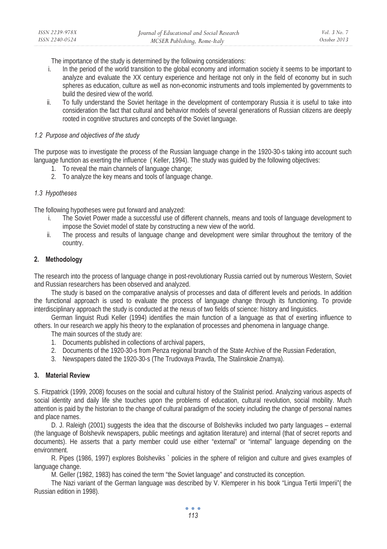The importance of the study is determined by the following considerations:

- i. In the period of the world transition to the global economy and information society it seems to be important to analyze and evaluate the XX century experience and heritage not only in the field of economy but in such spheres as education, culture as well as non-economic instruments and tools implemented by governments to build the desired view of the world.
- ii. To fully understand the Soviet heritage in the development of contemporary Russia it is useful to take into consideration the fact that cultural and behavior models of several generations of Russian citizens are deeply rooted in cognitive structures and concepts of the Soviet language.

#### *1.2 Purpose and objectives of the study*

The purpose was to investigate the process of the Russian language change in the 1920-30-s taking into account such language function as exerting the influence ( Keller, 1994). The study was guided by the following objectives:

- 1. To reveal the main channels of language change;
- 2. To analyze the key means and tools of language change.

## *1.3 Hypotheses*

The following hypotheses were put forward and analyzed:

- i. The Soviet Power made a successful use of different channels, means and tools of language development to impose the Soviet model of state by constructing a new view of the world.
- ii. The process and results of language change and development were similar throughout the territory of the country.

## **2. Methodology**

The research into the process of language change in post-revolutionary Russia carried out by numerous Western, Soviet and Russian researchers has been observed and analyzed.

The study is based on the comparative analysis of processes and data of different levels and periods. In addition the functional approach is used to evaluate the process of language change through its functioning. To provide interdisciplinary approach the study is conducted at the nexus of two fields of science: history and linguistics.

German linguist Rudi Keller (1994) identifies the main function of a language as that of exerting influence to others. In our research we apply his theory to the explanation of processes and phenomena in language change.

The main sources of the study are:

- 1. Documents published in collections of archival papers,
- 2. Documents of the 1920-30-s from Penza regional branch of the State Archive of the Russian Federation,
- 3. Newspapers dated the 1920-30-s (The Trudovaya Pravda, The Stalinskoie Znamya).

#### **3. Material Review**

S. Fitzpatrick (1999, 2008) focuses on the social and cultural history of the Stalinist period. Analyzing various aspects of social identity and daily life she touches upon the problems of education, cultural revolution, social mobility. Much attention is paid by the historian to the change of cultural paradigm of the society including the change of personal names and place names.

D. J. Raleigh (2001) suggests the idea that the discourse of Bolsheviks included two party languages – external (the language of Bolshevik newspapers, public meetings and agitation literature) and internal (that of secret reports and documents). He asserts that a party member could use either "external" or "internal" language depending on the environment.

R. Pipes (1986, 1997) explores Bolsheviks ` policies in the sphere of religion and culture and gives examples of language change.

M. Geller (1982, 1983) has coined the term "the Soviet language" and constructed its conception.

The Nazi variant of the German language was described by V. Klemperer in his book "Lingua Tertii Imperii"( the Russian edition in 1998).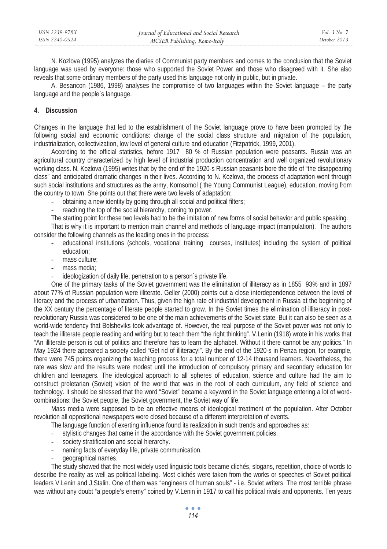| ISSN 2239-978X | Journal of Educational and Social Research | Vol. 3 No. 7 |
|----------------|--------------------------------------------|--------------|
| ISSN 2240-0524 | MCSER Publishing, Rome-Italy               | October 2013 |

N. Kozlova (1995) analyzes the diaries of Communist party members and comes to the conclusion that the Soviet language was used by everyone: those who supported the Soviet Power and those who disagreed with it. She also reveals that some ordinary members of the party used this language not only in public, but in private.

A. Besancon (1986, 1998) analyses the compromise of two languages within the Soviet language – the party language and the people`s language.

#### **4. Discussion**

Changes in the language that led to the establishment of the Soviet language prove to have been prompted by the following social and economic conditions: change of the social class structure and migration of the population, industrialization, collectivization, low level of general culture and education (Fitzpatrick, 1999, 2001).

According to the official statistics, before 1917 80 % of Russian population were peasants. Russia was an agricultural country characterized by high level of industrial production concentration and well organized revolutionary working class. N. Kozlova (1995) writes that by the end of the 1920-s Russian peasants bore the title of "the disappearing class" and anticipated dramatic changes in their lives. According to N. Kozlova, the process of adaptation went through such social institutions and structures as the army, Komsomol ( the Young Communist League), education, moving from the country to town. She points out that there were two levels of adaptation:

- obtaining a new identity by going through all social and political filters;
- reaching the top of the social hierarchy, coming to power.

The starting point for these two levels had to be the imitation of new forms of social behavior and public speaking.

That is why it is important to mention main channel and methods of language impact (manipulation). The authors consider the following channels as the leading ones in the process:

- educational institutions (schools, vocational training courses, institutes) including the system of political education;
- mass culture;
- mass media:
- ideologization of daily life, penetration to a person's private life.

One of the primary tasks of the Soviet government was the elimination of illiteracy as in 1855 93% and in 1897 about 77% of Russian population were illiterate. Geller (2000) points out a close interdependence between the level of literacy and the process of urbanization. Thus, given the high rate of industrial development in Russia at the beginning of the XX century the percentage of literate people started to grow. In the Soviet times the elimination of illiteracy in postrevolutionary Russia was considered to be one of the main achievements of the Soviet state. But it can also be seen as a world-wide tendency that Bolsheviks took advantage of. However, the real purpose of the Soviet power was not only to teach the illiterate people reading and writing but to teach them "the right thinking". V.Lenin (1918) wrote in his works that "An illiterate person is out of politics and therefore has to learn the alphabet. Without it there cannot be any politics." In May 1924 there appeared a society called "Get rid of illiteracy!". By the end of the 1920-s in Penza region, for example, there were 745 points organizing the teaching process for a total number of 12-14 thousand learners. Nevertheless, the rate was slow and the results were modest until the introduction of compulsory primary and secondary education for children and teenagers. The ideological approach to all spheres of education, science and culture had the aim to construct proletarian (Soviet) vision of the world that was in the root of each curriculum, any field of science and technology. It should be stressed that the word "Soviet" became a keyword in the Soviet language entering a lot of wordcombinations: the Soviet people, the Soviet government, the Soviet way of life.

Mass media were supposed to be an effective means of ideological treatment of the population. After October revolution all oppositional newspapers were closed because of a different interpretation of events.

The language function of exerting influence found its realization in such trends and approaches as:

stylistic changes that came in the accordance with the Soviet government policies.

- society stratification and social hierarchy.
- naming facts of everyday life, private communication.
- geographical names.

The study showed that the most widely used linguistic tools became clichés, slogans, repetition, choice of words to describe the reality as well as political labeling. Most clichés were taken from the works or speeches of Soviet political leaders V.Lenin and J.Stalin. One of them was "engineers of human souls" - i.e. Soviet writers. The most terrible phrase was without any doubt "a people's enemy" coined by V.Lenin in 1917 to call his political rivals and opponents. Ten years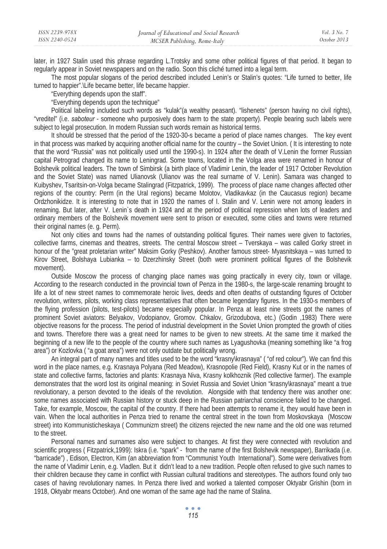| ISSN 2239-978X | Journal of Educational and Social Research | Vol. 3 No. 7 |
|----------------|--------------------------------------------|--------------|
| ISSN 2240-0524 | MCSER Publishing, Rome-Italy               | October 2013 |
|                |                                            |              |

later, in 1927 Stalin used this phrase regarding L.Trotsky and some other political figures of that period. It began to regularly appear in Soviet newspapers and on the radio. Soon this cliché turned into a legal term.

The most popular slogans of the period described included Lenin's or Stalin's quotes: "Life turned to better, life turned to happier".\Life became better, life became happier.

"Everything depends upon the staff".

"Everything depends upon the technique"

Political labeling included such words as "kulak"(a wealthy peasant). "lishenets" (person having no civil rights), "vreditel" (i.e. *saboteur* - someone who purposively does harm to the state property). People bearing such labels were subject to legal prosecution. In modern Russian such words remain as historical terms.

It should be stressed that the period of the 1920-30-s became a period of place names changes. The key event in that process was marked by acquiring another official name for the country – the Soviet Union. ( It is interesting to note that the word "Russia" was not politically used until the 1990-s). In 1924 after the death of V.Lenin the former Russian capital Petrograd changed its name to Leningrad. Some towns, located in the Volga area were renamed in honour of Bolshevik political leaders. The town of Simbirsk (a birth place of Vladimir Lenin, the leader of 1917 October Revolution and the Soviet State) was named Ulianovsk (Ulianov was the real surname of V. Lenin). Samara was changed to Kuibyshev, Tsaritsin-on-Volga became Stalingrad (Fitzpatrick, 1999). The process of place name changes affected other regions of the country: Perm (in the Ural regions) became Molotov, Vladikavkaz (in the Caucasus region) became Ordzhonikidze. It is interesting to note that in 1920 the names of I. Stalin and V. Lenin were not among leaders in renaming. But later, after V. Lenin`s death in 1924 and at the period of political repression when lots of leaders and ordinary members of the Bolshevik movement were sent to prison or executed, some cities and towns were returned their original names (e. g. Perm).

Not only cities and towns had the names of outstanding political figures. Their names were given to factories, collective farms, cinemas and theatres, streets. The central Moscow street – Tverskaya – was called Gorky street in honour of the "great proletarian writer" Maksim Gorky (Peshkov). Another famous street- Myasnitskaya – was turned to Kirov Street, Bolshaya Lubianka – to Dzerzhinsky Street (both were prominent political figures of the Bolshevik movement).

Outside Moscow the process of changing place names was going practically in every city, town or village. According to the research conducted in the provincial town of Penza in the 1980-s, the large-scale renaming brought to life a lot of new street names to commemorate heroic lives, deeds and often deaths of outstanding figures of October revolution, writers, pilots, working class representatives that often became legendary figures. In the 1930-s members of the flying profession (pilots, test-pilots) became especially popular. In Penza at least nine streets got the names of prominent Soviet aviators: Belyakov, Vodopianov, Gromov. Chkalov, Grizodubova, etc.) (Godin ,1983) There were objective reasons for the process. The period of industrial development in the Soviet Union prompted the growth of cities and towns. Therefore there was a great need for names to be given to new streets. At the same time it marked the beginning of a new life to the people of the country where such names as Lyagushovka (meaning something like "a frog area") or Kozlovka ( "a goat area") were not only outdate but politically wrong.

An integral part of many names and titles used to be the word "krasny\krasnaya" ( "of red colour"). We can find this word in the place names, e.g. Krasnaya Polyana (Red Meadow), Krasnopolie (Red Field), Krasny Kut or in the names of state and collective farms, factories and plants: Krasnaya Niva, Krasny kolkhoznik (Red collective farmer). The example demonstrates that the word lost its original meaning: in Soviet Russia and Soviet Union "krasny\krasnaya" meant a true revolutionary, a person devoted to the ideals of the revolution. Alongside with that tendency there was another one: some names associated with Russian history or stuck deep in the Russian patriarchal conscience failed to be changed. Take, for example, Moscow, the capital of the country. If there had been attempts to rename it, they would have been in vain. When the local authorities in Penza tried to rename the central street in the town from Moskovskaya (Moscow street) into Kommunisticheskaya ( Communizm street) the citizens rejected the new name and the old one was returned to the street.

Personal names and surnames also were subject to changes. At first they were connected with revolution and scientific progress ( Fitzpatrick,1999): Iskra (i.e. "spark" - from the name of the first Bolshevik newspaper), Barrikada (i.e. "barricade") , Edison, Electron, Kim (an abbreviation from "Communist Youth International"). Some were derivatives from the name of Vladimir Lenin, e.g. Vladlen. But it didn't lead to a new tradition. People often refused to give such names to their children because they came in conflict with Russian cultural traditions and stereotypes. The authors found only two cases of having revolutionary names. In Penza there lived and worked a talented composer Oktyabr Grishin (born in 1918, Oktyabr means October). And one woman of the same age had the name of Stalina.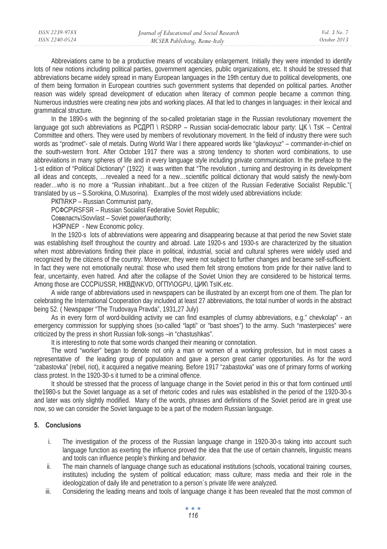| ISSN 2239-978X | Journal of Educational and Social Research | Vol. 3 No. 7 |
|----------------|--------------------------------------------|--------------|
| ISSN 2240-0524 | MCSER Publishing, Rome-Italy               | October 2013 |
|                |                                            |              |

Abbreviations came to be a productive means of vocabulary enlargement. Initially they were intended to identify lots of new notions including political parties, government agencies, public organizations, etc. It should be stressed that abbreviations became widely spread in many European languages in the 19th century due to political developments, one of them being formation in European countries such government systems that depended on political parties. Another reason was widely spread development of education when literacy of common people became a common thing. Numerous industries were creating new jobs and working places. All that led to changes in languages: in their lexical and grammatical structure.

In the 1890-s with the beginning of the so-called proletarian stage in the Russian revolutionary movement the language got such abbreviations as PCAPI \ RSDRP – Russian social-democratic labour party: LIK \ TsK – Central Committee and others. They were used by members of revolutionary movement. In the field of industry there were such words as "prodmet"- sale of metals. During World War I there appeared words like "glavkoyuz" – commander-in-chief on the south-western front. After October 1917 there was a strong tendency to shorten word combinations, to use abbreviations in many spheres of life and in every language style including private communication. In the preface to the 1-st edition of "Political Dictionary" (1922) it was written that "The revolution , turning and destroying in its development all ideas and concepts, …revealed a need for a new…scientific political dictionary that would satisfy the newly-born reader…who is no more a "Russian inhabitant…but a free citizen of the Russian Federative Socialist Republic."( translated by us – S.Sorokina, O.Musorina). Examples of the most widely used abbreviations include:

PKINRKP – Russian Communist party,

PC<sub>Φ</sub>CPIRSFSR – Russian Socialist Federative Soviet Republic;

Соввласть\Sovvlast – Soviet power\authority;

H<sub>3</sub>P\NEP - New Economic policy.

In the 1920-s lots of abbreviations were appearing and disappearing because at that period the new Soviet state was establishing itself throughout the country and abroad. Late 1920-s and 1930-s are characterized by the situation when most abbreviations finding their place in political, industrial, social and cultural spheres were widely used and recognized by the citizens of the country. Moreover, they were not subject to further changes and became self-sufficient. In fact they were not emotionally neutral: those who used them felt strong emotions from pride for their native land to fear, uncertainty, even hatred. And after the collapse of the Soviet Union they are considered to be historical terms. Among those are CCCP\USSR, HKBIJ\NKVD, OFTIY\OGPU, LIVIK\ TsIK.etc.

A wide range of abbreviations used in newspapers can be illustrated by an excerpt from one of them. The plan for celebrating the International Cooperation day included at least 27 abbreviations, the total number of words in the abstract being 52. ( Newspaper "The Trudovaya Pravda", 1931,27 July)

As in every form of word-building activity we can find examples of clumsy abbreviations, e.g." chevkolap" - an emergency commission for supplying shoes (so-called "lapti" or "bast shoes") to the army. Such "masterpieces" were criticized by the press in short Russian folk-songs –in "chastushkas".

It is interesting to note that some words changed their meaning or connotation.

The word "worker" began to denote not only a man or women of a working profession, but in most cases a representative of the leading group of population and gave a person great carrier opportunities. As for the word "zabastovka" (rebel, riot), it acquired a negative meaning. Before 1917 "zabastovka" was one of primary forms of working class protest. In the 1920-30-s it turned to be a criminal offence.

It should be stressed that the process of language change in the Soviet period in this or that form continued until the1980-s but the Soviet language as a set of rhetoric codes and rules was established in the period of the 1920-30-s and later was only slightly modified. Many of the words, phrases and definitions of the Soviet period are in great use now, so we can consider the Soviet language to be a part of the modern Russian language.

# **5. Conclusions**

- i. The investigation of the process of the Russian language change in 1920-30-s taking into account such language function as exerting the influence proved the idea that the use of certain channels, linguistic means and tools can influence people's thinking and behavior.
- ii. The main channels of language change such as educational institutions (schools, vocational training courses, institutes) including the system of political education; mass culture; mass media and their role in the ideologization of daily life and penetration to a person`s private life were analyzed.
- iii. Considering the leading means and tools of language change it has been revealed that the most common of